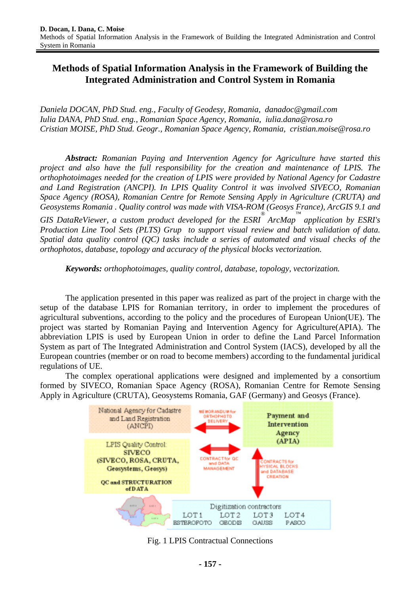# **Methods of Spatial Information Analysis in the Framework of Building the Integrated Administration and Control System in Romania**

*Daniela DOCAN, PhD Stud. eng., Faculty of Geodesy, Romania, danadoc@gmail.com Iulia DANA, PhD Stud. eng., Romanian Space Agency, Romania, iulia.dana@rosa.ro Cristian MOISE, PhD Stud. Geogr., Romanian Space Agency, Romania, cristian.moise@rosa.ro* 

*Abstract: Romanian Paying and Intervention Agency for Agriculture have started this project and also have the full responsibility for the creation and maintenance of LPIS. The orthophotoimages needed for the creation of LPIS were provided by National Agency for Cadastre and Land Registration (ANCPI). In LPIS Quality Control it was involved SIVECO, Romanian Space Agency (ROSA), Romanian Centre for Remote Sensing Apply in Agriculture (CRUTA) and Geosystems Romania . Quality control was made with VISA-ROM (Geosys France), ArcGIS 9.1 and* 

*GIS DataReViewer, a custom product developed for the ESRI ® ArcMap ™ application by ESRI's Production Line Tool Sets (PLTS) Grup to support visual review and batch validation of data. Spatial data quality control (QC) tasks include a series of automated and visual checks of the orthophotos, database, topology and accuracy of the physical blocks vectorization.* 

*Keywords: orthophotoimages, quality control, database, topology, vectorization.*

The application presented in this paper was realized as part of the project in charge with the setup of the database LPIS for Romanian territory, in order to implement the procedures of agricultural subventions, according to the policy and the procedures of European Union(UE). The project was started by Romanian Paying and Intervention Agency for Agriculture(APIA). The abbreviation LPIS is used by European Union in order to define the Land Parcel Information System as part of The Integrated Administration and Control System (IACS), developed by all the European countries (member or on road to become members) according to the fundamental juridical regulations of UE.

The complex operational applications were designed and implemented by a consortium formed by SIVECO, Romanian Space Agency (ROSA), Romanian Centre for Remote Sensing Apply in Agriculture (CRUTA), Geosystems Romania, GAF (Germany) and Geosys (France).



Fig. 1 LPIS Contractual Connections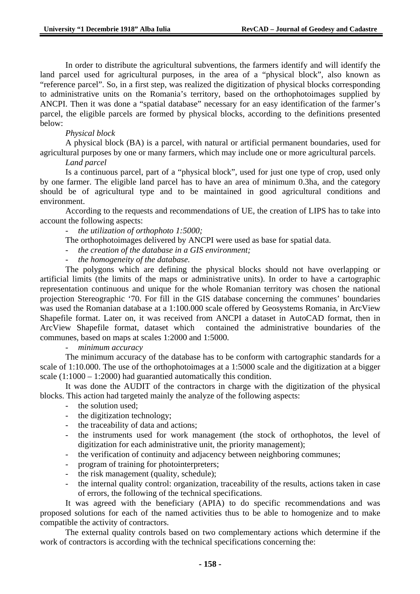In order to distribute the agricultural subventions, the farmers identify and will identify the land parcel used for agricultural purposes, in the area of a "physical block", also known as "reference parcel". So, in a first step, was realized the digitization of physical blocks corresponding to administrative units on the Romania's territory, based on the orthophotoimages supplied by ANCPI. Then it was done a "spatial database" necessary for an easy identification of the farmer's parcel, the eligible parcels are formed by physical blocks, according to the definitions presented below:

## *Physical block*

A physical block (BA) is a parcel, with natural or artificial permanent boundaries, used for agricultural purposes by one or many farmers, which may include one or more agricultural parcels.

## *Land parcel*

Is a continuous parcel, part of a "physical block", used for just one type of crop, used only by one farmer. The eligible land parcel has to have an area of minimum 0.3ha, and the category should be of agricultural type and to be maintained in good agricultural conditions and environment.

According to the requests and recommendations of UE, the creation of LIPS has to take into account the following aspects:

- *the utilization of orthophoto 1:5000;* 

The orthophotoimages delivered by ANCPI were used as base for spatial data.

- *the creation of the database in a GIS environment;*
- *the homogeneity of the database.*

The polygons which are defining the physical blocks should not have overlapping or artificial limits (the limits of the maps or administrative units). In order to have a cartographic representation continuous and unique for the whole Romanian territory was chosen the national projection Stereographic '70. For fill in the GIS database concerning the communes' boundaries was used the Romanian database at a 1:100.000 scale offered by Geosystems Romania, in ArcView Shapefile format. Later on, it was received from ANCPI a dataset in AutoCAD format, then in ArcView Shapefile format, dataset which contained the administrative boundaries of the communes, based on maps at scales 1:2000 and 1:5000.

## - *minimum accuracy*

The minimum accuracy of the database has to be conform with cartographic standards for a scale of 1:10.000. The use of the orthophotoimages at a 1:5000 scale and the digitization at a bigger scale  $(1:1000 - 1:2000)$  had guarantied automatically this condition.

It was done the AUDIT of the contractors in charge with the digitization of the physical blocks. This action had targeted mainly the analyze of the following aspects:

- the solution used:
- the digitization technology;
- the traceability of data and actions;
- the instruments used for work management (the stock of orthophotos, the level of digitization for each administrative unit, the priority management);
- the verification of continuity and adjacency between neighboring communes;
- program of training for photointerpreters;
- the risk management (quality, schedule);
- the internal quality control: organization, traceability of the results, actions taken in case of errors, the following of the technical specifications.

It was agreed with the beneficiary (APIA) to do specific recommendations and was proposed solutions for each of the named activities thus to be able to homogenize and to make compatible the activity of contractors.

The external quality controls based on two complementary actions which determine if the work of contractors is according with the technical specifications concerning the: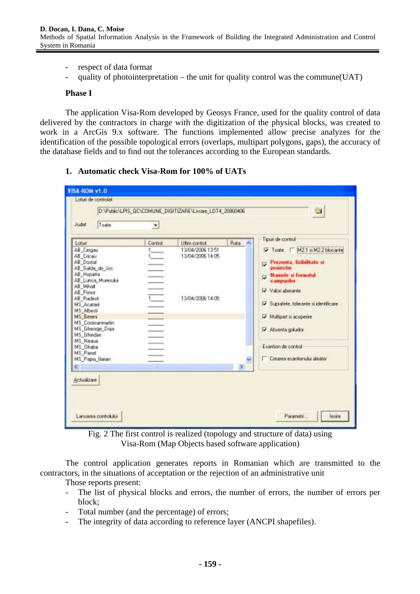- respect of data format
- quality of photointerpretation the unit for quality control was the commune(UAT)

#### **Phase I**

The application Visa-Rom developed by Geosys France, used for the quality control of data delivered by the contractors in charge with the digitization of the physical blocks, was created to work in a ArcGis 9.x software. The functions implemented allow precise analyzes for the identification of the possible topological errors (overlaps, multipart polygons, gaps), the accuracy of the database fields and to find out the tolerances according to the European standards.

## **1. Automatic check Visa-Rom for 100% of UATs**

| Lotus                                                                                                                                                                                                                                                                                   | Control | Liting optiol                                            | Rata | Tipusi de control                                                                                                                                                                                                                                                                     |
|-----------------------------------------------------------------------------------------------------------------------------------------------------------------------------------------------------------------------------------------------------------------------------------------|---------|----------------------------------------------------------|------|---------------------------------------------------------------------------------------------------------------------------------------------------------------------------------------------------------------------------------------------------------------------------------------|
| AB_Cergau<br>AB Cricau<br>AB Dostat<br>AB Galda de Jos<br>AB_Hoparta<br>AB Lunca Muresuka<br>AB Mihalt<br>AB Ponor<br>AB Radesti<br>MS Acatari<br>MS Albesti<br>MS Bereni<br>MS Coroisanmatin<br>MS_Gheorge_Doja<br>MS Ghindari<br>MS Neaua<br>MS Ohaba<br>MS_Panet<br>MS Papiu Ilarian |         | 13/04/2006 13:51<br>13/04/2006 14:05<br>13/04/2006 14:05 |      | Toste M21 si M22 blocante<br>Prezenta, lizibilitate si<br>₽<br>projectie<br>Numele zi formatul<br>ज<br>campurilor<br>Valori aberarin<br>Suprafete, tolerante si identificare<br>☞<br>Multipart si acoperire<br>Absenta golusion<br>Esantion de control<br>Createa esantorului aleator |

Fig. 2 The first control is realized (topology and structure of data) using Visa-Rom (Map Objects based software application)

The control application generates reports in Romanian which are transmitted to the contractors, in the situations of acceptation or the rejection of an administrative unit

Those reports present:

- The list of physical blocks and errors, the number of errors, the number of errors per block;
- Total number (and the percentage) of errors;
- The integrity of data according to reference layer (ANCPI shapefiles).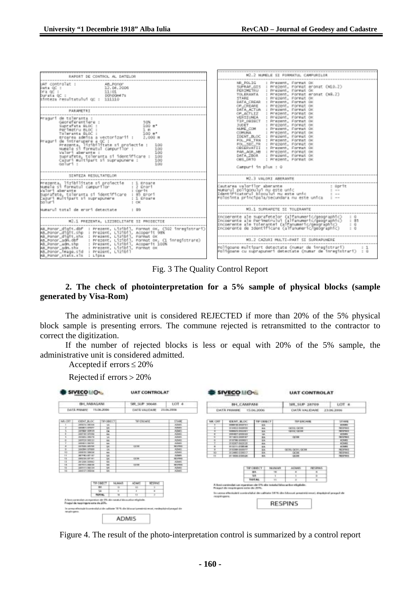| RAPORT DE CONTROL AL DATELOR                                                                                                                                                                                                                                                                                                                                        | M2.2 NUMBLE ST FORMATUL CAMPURILOR                                                                                                                                                                                                                                                                                                                                                                                                                                          |
|---------------------------------------------------------------------------------------------------------------------------------------------------------------------------------------------------------------------------------------------------------------------------------------------------------------------------------------------------------------------|-----------------------------------------------------------------------------------------------------------------------------------------------------------------------------------------------------------------------------------------------------------------------------------------------------------------------------------------------------------------------------------------------------------------------------------------------------------------------------|
| UAT controlat : AB_Poncr<br>  Data QC : 12.04.2006<br>  Data QC : 11.101<br>  Data QC : 11.101<br>Sinteza resultatului oc : 111110<br>PARAMETRI                                                                                                                                                                                                                     | MR POLIG<br>: Prezent, Format OK<br>SUPRAF_GIS : Prezent, Format eronat (KLO.2)<br>PERIMETRU : Prezent, Format OK<br>TOLERANTA : Prezent, Format eronat (NR.2)<br>STARE : Prezent, Format OK<br>DATA_CREAR : Prezent, Format OK<br>OP_CREARE   Prezent, Forwat OK<br>DATA_ACTUA : Prezent, Format OK                                                                                                                                                                        |
| Praguri de toleranta :<br>Georeferentiere :<br>5.0%<br>Eroarea admisa a vectorizanii : 2,000 m<br>Praguri de intrerupere a QC :<br>Prezenta, lizibilitate si proiectie :<br>1.00<br>sumele si formatul campurilor :<br>1.00<br>1.00<br>Valori aberante :<br>suprafete, toleranta si identificare : 100<br>Cazuri multipart si suprapunere : 100<br>daluri :<br>1.00 | OP_ACTLIZ : Prezent, Format OK<br>VERSIUNEA : Prezent, Format OK<br>TIP ORIGCT : Prezent, Format OK<br>JUDET   Prezent, Forwat ox<br>MLME_COM : Prezent, Format OK<br>COMUNA : Prezent, Format OK<br>IDENT_BLOC : Prezent, Format OK<br>FOL. PR TRN : Prezent, Format OK<br>FOL_SEC_TR : Pre2ent, Forwat ox<br>OBSERVATII : Prezent, Format OK<br>PAR_AGR_MB : Prezent, Format ok<br>DATA_ZBOR : Prezent, Format OK<br>OBS ORTO : Prezent, Format OK<br>Campuri in plus : 0 |
| SENTEZA RESULTATELOR                                                                                                                                                                                                                                                                                                                                                | M2.3 VALORI ABERANTE                                                                                                                                                                                                                                                                                                                                                                                                                                                        |
| :<br>Prezenta, 11z1b111tate si proiectie : 1 Broare<br>Mumele si formatul campurilor : 2 Gprit<br>Malori aberante : 0prit<br>suprafete, toleranta si identificare i 85 prori<br>Cazuri multipart si suprapunere  : 1 Groane<br>an'i uri<br>$1 - C$ 60<br>Numarul total de erori detectate<br>$\cdot$ 89                                                             | M3.1 SUPRAFETE SI TOLERANTE                                                                                                                                                                                                                                                                                                                                                                                                                                                 |
| M2.1 PREZENTA, LIZIBILITATE SI PROIECTIE<br>AR_Ponor_digit.dbf : Prezent, Lizibil, Format OK, (502 inregistrari)<br>AB_Ponor_digit.shp : Prezent, Lizibil, Acoperit 03%<br>AR_Ponor_digit.shx : Prezent, Lizibil, Format OK                                                                                                                                         | tncoerente ale suprafetelor (alfanumeric/geographic) = 0<br>Incoerente ale Perimetrului (alfanumeric/geographic) = 85<br>Incoerente ale Tolerantei (alfanumeric/geographic) : 0<br>Incogrente de Identificare (alfanumeric/geographic)<br>M3.2 CAZURI MULTI-PART SI SUPRAPUNGRE                                                                                                                                                                                             |
| AB_Ponor_adm.dbf   : Prezent, L121b11, Pormat ox. (1 inregistrare)<br>AB_Ponor_adm.shp   : Prezent, L121b11, Acoperit 100%<br>AB Ponor adm.shx : Prezent, Lizibil, Format ox<br>AB_Ponor_1eage.s1d<br>: Prezent, Lizibil<br>AB Ponor stats.xls : Lipsa                                                                                                              | Po]igoane multipart detectate (numar de inregistrari)<br>Poligoane cu suprapuneri detectate (numar de inregistrari) : 0                                                                                                                                                                                                                                                                                                                                                     |

Fig. 3 The Quality Control Report

**2. The check of photointerpretation for a 5% sample of physical blocks (sample generated by Visa-Rom)** 

The administrative unit is considered REJECTED if more than 20% of the 5% physical block sample is presenting errors. The commune rejected is retransmitted to the contractor to correct the digitization.

If the number of rejected blocks is less or equal with 20% of the 5% sample, the administrative unit is considered admitted.

Accepted if  $\text{errors} \leq 20\%$ 

Rejected if  $\text{errors} > 20\%$ 



Figure 4. The result of the photo-interpretation control is summarized by a control report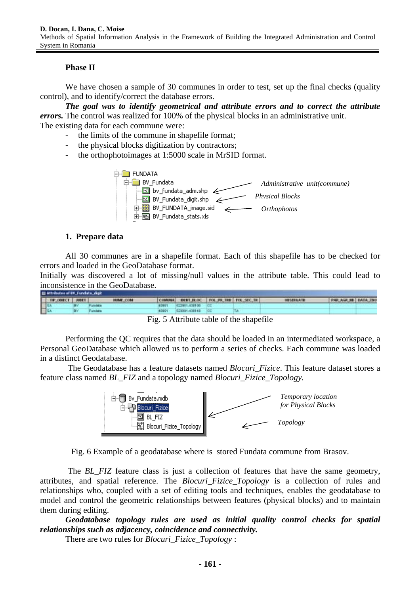## **Phase II**

We have chosen a sample of 30 communes in order to test, set up the final checks (quality control), and to identify/correct the database errors.

*The goal was to identify geometrical and attribute errors and to correct the attribute errors.* The control was realized for 100% of the physical blocks in an administrative unit. The existing data for each commune were:

- the limits of the commune in shapefile format;
- the physical blocks digitization by contractors;
- the orthophotoimages at 1:5000 scale in MrSID format.



## **1. Prepare data**

All 30 communes are in a shapefile format. Each of this shapefile has to be checked for errors and loaded in the GeoDatabase format.

Initially was discovered a lot of missing/null values in the attribute table. This could lead to inconsistence in the GeoDatabase.

| T# ODECT JUSET<br>COMMAN BEHT BLOC   FOL PR TRN   FOL SEC TR<br>OBSERVATE<br><b>UME COM</b><br>1502051-438100<br>us to but a<br>489991 |                      |
|----------------------------------------------------------------------------------------------------------------------------------------|----------------------|
|                                                                                                                                        | PAR AGR NE DATA JINE |
|                                                                                                                                        |                      |
| 물<br><b>REPORT -406148</b><br>40991<br>Fundata                                                                                         |                      |

Fig. 5 Attribute table of the shapefile

Performing the QC requires that the data should be loaded in an intermediated workspace, a Personal GeoDatabase which allowed us to perform a series of checks. Each commune was loaded in a distinct Geodatabase.

The Geodatabase has a feature datasets named *Blocuri\_Fizice*. This feature dataset stores a feature class named *BL\_FIZ* and a topology named *Blocuri\_Fizice\_Topology.* 



Fig. 6 Example of a geodatabase where is stored Fundata commune from Brasov.

The *BL\_FIZ* feature class is just a collection of features that have the same geometry, attributes, and spatial reference. The *Blocuri\_Fizice\_Topology* is a collection of rules and relationships who, coupled with a set of editing tools and techniques, enables the geodatabase to model and control the geometric relationships between features (physical blocks) and to maintain them during editing.

*Geodatabase topology rules are used as initial quality control checks for spatial relationships such as adjacency, coincidence and connectivity.* 

There are two rules for *Blocuri\_Fizice\_Topology* :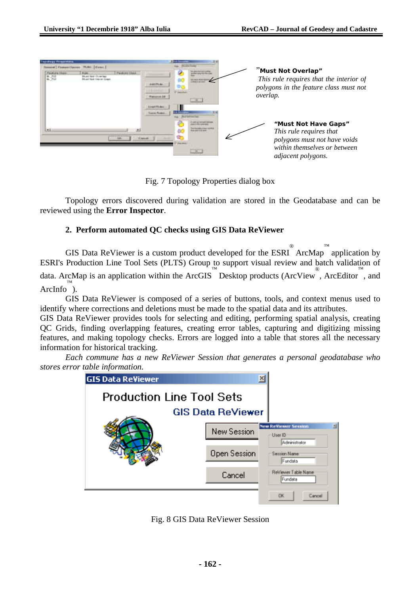| <b><i><u>Emandiardo Monaccettes</u></i></b>                                                                              |                                                                                                                                                                         |                                                                                                                                              |
|--------------------------------------------------------------------------------------------------------------------------|-------------------------------------------------------------------------------------------------------------------------------------------------------------------------|----------------------------------------------------------------------------------------------------------------------------------------------|
| al Fasco Garrer Hill   Front  <br>FRANKRISHE<br>N. 702<br>N. 702<br><b>Fast at User</b><br><b>Bidd</b><br>Hust Not Over? | other Evening<br>the carry is an identity<br>œ<br><b>ALCOHOL: ALCOHOL</b><br>DV3.<br><b>Wilder</b><br><b>Representative</b><br>38.1<br><b>Local Fluges</b><br>ans Foto! | "Must Not Overlap"<br>This rule requires that the interior of<br>polygons in the feature class must not<br>overlap.                          |
| Ŀц                                                                                                                       | $\sim$<br>œ<br>a particular and<br><b>Carolet</b><br><b>Hall Aring</b><br>$-10 - 1$                                                                                     | "Must Not Have Gaps"<br>This rule requires that<br>polygons must not have voids<br>within themselves or between<br><i>adjacent polygons.</i> |

Fig. 7 Topology Properties dialog box

Topology errors discovered during validation are stored in the Geodatabase and can be reviewed using the **Error Inspector**.

## **2. Perform automated QC checks using GIS Data ReViewer**

GIS Data ReViewer is a custom product developed for the  $ESRI^{\circ}$  ArcMap application by ESRI's Production Line Tool Sets (PLTS) Group to support visual review and batch validation of data. ArcMap is an application within the ArcGIS Desktop products (ArcView<sup>®</sup>, ArcEditor  $\stackrel{m}{\sim}$  and ArcInfo™ ).

GIS Data ReViewer is composed of a series of buttons, tools, and context menus used to identify where corrections and deletions must be made to the spatial data and its attributes.

GIS Data ReViewer provides tools for selecting and editing, performing spatial analysis, creating QC Grids, finding overlapping features, creating error tables, capturing and digitizing missing features, and making topology checks. Errors are logged into a table that stores all the necessary information for historical tracking.

*Each commune has a new ReViewer Session that generates a personal geodatabase who stores error table information.* 



Fig. 8 GIS Data ReViewer Session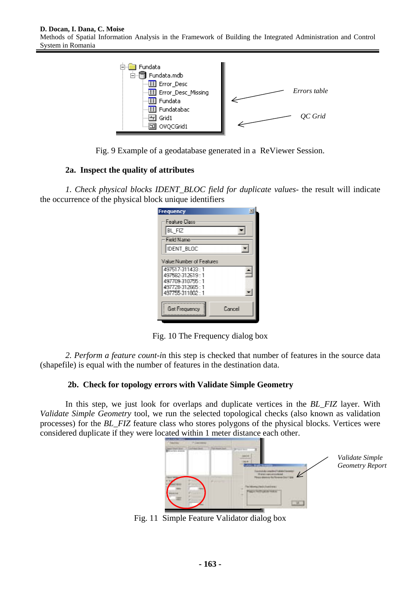

Fig. 9 Example of a geodatabase generated in a ReViewer Session.

# **2a. Inspect the quality of attributes**

*1. Check physical blocks IDENT\_BLOC field for duplicate values*- the result will indicate the occurrence of the physical block unique identifiers

| Frequency                                 | $\infty$ |
|-------------------------------------------|----------|
| Feature Dass                              |          |
| BL FIZ                                    |          |
| Field Name                                |          |
| Iident bloc                               |          |
| Value Number of Features                  |          |
| 497517-311433:1                           |          |
| 497582-312619 1                           |          |
| 497709.310755 1                           |          |
| 497728-312665 11                          |          |
| 497755-311802:1                           |          |
| <b>CONTRACTOR</b><br><b>Get Frequency</b> | Dancel   |
|                                           |          |

Fig. 10 The Frequency dialog box

*2. Perform a feature count-i*n this step is checked that number of features in the source data (shapefile) is equal with the number of features in the destination data.

## **2b. Check for topology errors with Validate Simple Geometry**

In this step, we just look for overlaps and duplicate vertices in the *BL\_FIZ* layer. With *Validate Simple Geometry* tool, we run the selected topological checks (also known as validation processes) for the *BL\_FIZ* feature class who stores polygons of the physical blocks. Vertices were considered duplicate if they were located within 1 meter distance each other.



Fig. 11 Simple Feature Validator dialog box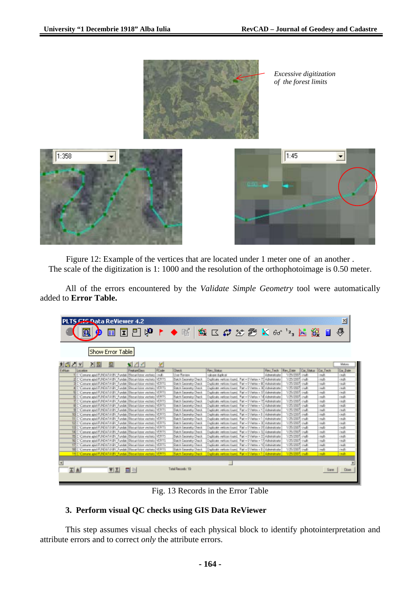

Figure 12: Example of the vertices that are located under 1 meter one of an another . The scale of the digitization is 1: 1000 and the resolution of the orthophotoimage is 0.50 meter.

All of the errors encountered by the *Validate Simple Geometry* tool were automatically added to **Error Table.**

|                |          |                  |    | <b>PLTS CIS Data ReViewer 4.2</b>                                                                                  |                     |                                           |                                                                                                                          |                  |                                |                     |                    | 쯰             |
|----------------|----------|------------------|----|--------------------------------------------------------------------------------------------------------------------|---------------------|-------------------------------------------|--------------------------------------------------------------------------------------------------------------------------|------------------|--------------------------------|---------------------|--------------------|---------------|
|                |          |                  |    |                                                                                                                    |                     |                                           |                                                                                                                          |                  |                                |                     |                    |               |
|                |          | D                |    |                                                                                                                    |                     |                                           | 国国巴牌 ▶ ◆暗 奥区# 2025 K 60 7 民發 ■                                                                                           |                  |                                |                     |                    | 曑             |
|                |          |                  |    |                                                                                                                    |                     |                                           |                                                                                                                          |                  |                                |                     |                    |               |
|                |          |                  |    |                                                                                                                    |                     |                                           |                                                                                                                          |                  |                                |                     |                    |               |
|                |          |                  |    |                                                                                                                    |                     |                                           |                                                                                                                          |                  |                                |                     |                    |               |
|                |          | Show Error Table |    |                                                                                                                    |                     |                                           |                                                                                                                          |                  |                                |                     |                    |               |
|                |          |                  |    |                                                                                                                    |                     |                                           |                                                                                                                          |                  |                                |                     |                    |               |
|                |          |                  |    |                                                                                                                    |                     |                                           |                                                                                                                          |                  |                                |                     |                    |               |
| 因問 コド          |          | 凶圆               |    | $\leq$ 1                                                                                                           | ¥                   |                                           |                                                                                                                          |                  |                                |                     |                    | Meteo         |
| Exhium         | Listades |                  |    | Feature Class                                                                                                      | FC <sub>red</sub> e | <b>Dwik</b>                               | Rev Steur                                                                                                                | Rev Tech Ray Day |                                | Car Status Cor Tach |                    | Cor Date      |
|                |          |                  |    | I C'Omure asis/FUNDATA/BV_Fundat-(Strout fister ventorio (multi-                                                   |                     | <b>Use Review</b>                         | saloam duplicat                                                                                                          | Administrator    | 1/25/2007 (rolb                |                     | could              | (mill)        |
|                |          |                  |    | E'Comre asia/FUNDATA/BV Fundat-Blacut-Itdos vectors (VERTS)                                                        |                     | Baich Beandry Dreck                       | Duplicate rentices loand. Part = DVentex = 75 Administrator                                                              |                  | 1/25/2007 onab                 |                     | rnalb              | out           |
|                |          |                  |    | C: Conune apial/FUNDATAN&V Fundati Blacui (dos vector).                                                            | HERTS               | Bach Georgey Dwck                         | Duckcake reflore loand. Fart . EVentex . IEI Administrate                                                                |                  | V20007                         | onub                | mill               | mit           |
|                |          |                  |    | C: Camure apid FUNDATOW/ Fundat (Strout Stice vestals).                                                            | <b>MATS</b>         | <b>Back Executive Direct</b>              | Duplicate restices found. Part + EVenter + 36 Editorials also                                                            |                  | <b>SANCHORN</b>                | onab                | <b>Charles</b>     | out           |
|                |          |                  |    | C:Comune apia/FUNDAFA/BV_Fundat-[Shout-lister ventoris]16FR19                                                      |                     | <b>Raich Easandry Dyrek</b>               | Duplinate reviews from ( Part + DVertex + 12) Administrator                                                              |                  | 1/26/2002 insdi-               |                     | (milli             | (mill)        |
|                |          |                  |    | SE Comune apia/FUNDAFA/BV, Fundah Stepsi itolog vertoto l'ICFITS                                                   |                     | Saich Earonsky Drack                      | Duplicate vertices found. Part = DVertex = 14 Administrator                                                              |                  | V2V2007 (rub                   |                     | <b>sub</b>         | out           |
|                |          |                  |    | E'Conune apia\FUNDATA/&V Fundat: Discussions vectors                                                               | WER15               | Baich Geometry Dheck                      | Duckcake reflices found. Fait . EVenex . 15 Administrator                                                                |                  | 1/25/2007                      | onab                | nd                 | out           |
|                |          |                  |    | E C Camure apare PUNDATANEV Fundat Bilacus (dos vector).                                                           | <b>WRTS</b>         | Stach Executor Direck                     | Duckings vertices found. Part + EVenter + 12 Administrator                                                               |                  | <b>VECKET</b>                  | ondo                | <b>CRANT</b>       | mill          |
|                |          |                  |    | C:Comune apid RINDATANIV, Fundat-Black Kope vestorial                                                              | <b>ISRTS</b>        | <b>Rach Executiv Deek</b>                 | Duplicate reduces found. Part of Vetex x 13 Administrator                                                                |                  | 1/20/2007 (real)               |                     | <b>Charles</b>     | (mdl)         |
|                |          |                  |    | 10 C'Comze asi/FUNXIA/BV, Fundal Stepsitosa vectors (18715)                                                        |                     | Balch Beaudoy Dreck                       | Daplinako verkoos lound, Pari + DVerkov + 1 : Administrator                                                              |                  | 1/25/2007 (roll)               |                     | (mill)             | (mill)        |
|                |          |                  |    | TT C Conune apia/FUNDATA/BV Fundati Blocut Italia vectoris / HERTS                                                 |                     | Baich Easnetty Drack                      | Duplicate reflices found. Part = EVertex = 1 : Administrate                                                              |                  | 1/25/2007 cruits               |                     | rsalt              | mih           |
|                |          |                  |    | 12 C: Conune apar FUNDAT AND Fundat Steps Holze vectors                                                            | HERTS               | Bach Geonety Dyck                         | Duckinske restiges found. Part - EVentex - 30 Administrator                                                              |                  | V20202 out                     |                     | nd                 | out           |
|                |          |                  |    | 13 C Conuve apr/FUNDSTANY Fundst Shout four vestors.                                                               | 16RTS               | <b>Rack Engineer/Dwck</b>                 | Duplicate reduces found. Part + EVenter + 21 Administrator                                                               |                  | SUSCIENT GALE                  |                     | <b>Chulk</b>       | <b>Canada</b> |
|                |          |                  |    | 18 C: Comune apin/FUNDATA/BV, Fundat-Blacua Rober ventorio (159715                                                 |                     | <b>Balch Extendity Drock</b>              | Duplicate restore lound. Part + DVertex + 33 Administrator                                                               |                  | 1/25/2007 (rub)                |                     | ceall.             | (mill)        |
|                |          |                  |    | TS C Comune apia/FUNDAFA/BV Fundal- Discussions vectors (ICF/TS                                                    |                     | Saich Eeoneky-Dreck<br>Bach Geométy Dieck | Duplicate refices found. Part = BVertex = 33 Administrator<br>Duckcake rentices found. Part = EVentex = 17 Administrator |                  | MEADON onab<br><b>V25/2007</b> |                     | ruh                | mih           |
|                |          |                  |    | NEC Conune apia/FUNDATA/BV Fundat (Steps) (cips vector) (IERTS<br>17 C Canye apr/FUC07/VW Fundat Republike vestab. | <b>SRTS</b>         | Suich Emanway Dwck                        | Duckinste retions found. Part + EVenter + 15 Administrator                                                               |                  | 1/2020                         | onub<br>out         | mit<br><b>Hull</b> | mih<br>multi  |
|                |          |                  |    | 18 C Comze apic FUNDATAW/ Fundat Shout from ventors (IER15                                                         |                     | <b>Ratrik Einmentis: Date L.</b>          | Daplinske revisses found. Part a DVesteurs II (Administrator                                                             |                  | MAXXXXX (mall)                 |                     | <b>County</b>      | (m.B          |
|                |          |                  |    | 19 E'Comine apid FURDATAMEV, Fundalı Bisoulilides veziolo (VERTS)                                                  |                     | <b>Bach Beandry Dreck</b>                 | Diglicate reflicer loand, Part + DVelipe + 1 - Administrator                                                             |                  | <b>MEADER</b> and              |                     | a mulh             | <b>Card</b> i |
|                |          |                  |    |                                                                                                                    |                     |                                           |                                                                                                                          |                  |                                |                     |                    |               |
|                |          |                  |    |                                                                                                                    |                     |                                           |                                                                                                                          |                  |                                |                     |                    |               |
| $\blacksquare$ |          |                  |    |                                                                                                                    |                     |                                           |                                                                                                                          |                  |                                |                     |                    |               |
| 지희             |          |                  | 회회 | 扁毛                                                                                                                 |                     | Tutal Records: 19                         |                                                                                                                          |                  |                                |                     | Same.              | Dose          |
|                |          |                  |    |                                                                                                                    |                     |                                           |                                                                                                                          |                  |                                |                     |                    |               |

Fig. 13 Records in the Error Table

## **3. Perform visual QC checks using GIS Data ReViewer**

This step assumes visual checks of each physical block to identify photointerpretation and attribute errors and to correct *only* the attribute errors.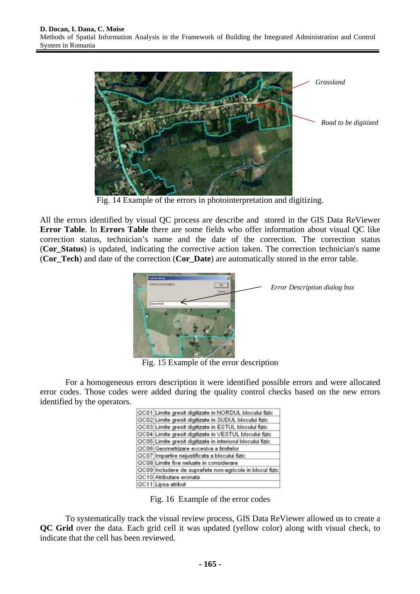

Fig. 14 Example of the errors in photointerpretation and digitizing.

All the errors identified by visual QC process are describe and stored in the GIS Data ReViewer **Error Table**. In **Errors Table** there are some fields who offer information about visual QC like correction status, technician's name and the date of the correction. The correction status (**Cor\_Status**) is updated, indicating the corrective action taken. The correction technician's name (**Cor\_Tech**) and date of the correction (**Cor\_Date**) are automatically stored in the error table.



Fig. 15 Example of the error description

For a homogeneous errors description it were identified possible errors and were allocated error codes. Those codes were added during the quality control checks based on the new errors identified by the operators.

| QC01 Limite gresit digitizate in NORDUL blocului fizic     |
|------------------------------------------------------------|
| QC02 Limite gresit digitizate in SUDUL blocului fizic      |
| QC03 Limite gresit digitizate in ESTUL blocului fizic      |
| QC04 Limite gresit digitizate in VESTUL blocului fizic     |
| QC05 Limite gresit digitizate in interiorul blocului fizic |
| QC06 Geometrizare excesiva a limitelor                     |
| QC07 Impartire nejustificata a blocului fizic              |
| QC08 Limite fixe neluate in considerare                    |
| QC09 Includere de suprafete non-agricole in blocul fizic   |
| QC10 Atributare eronata                                    |
| QC11 Lipsa atribut                                         |
|                                                            |

Fig. 16 Example of the error codes

To systematically track the visual review process, GIS Data ReViewer allowed us to create a **QC Grid** over the data. Each grid cell it was updated (yellow color) along with visual check, to indicate that the cell has been reviewed.